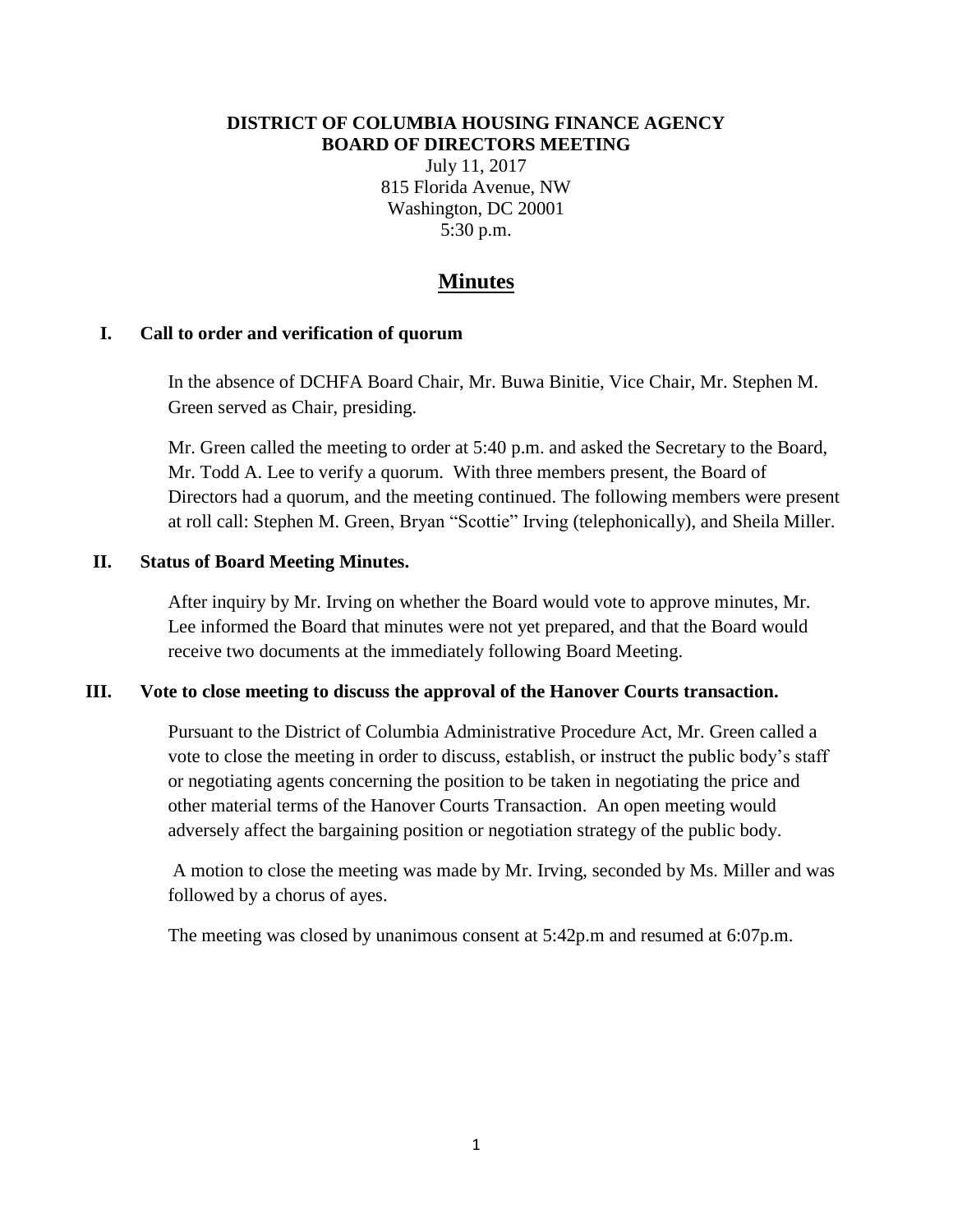#### **DISTRICT OF COLUMBIA HOUSING FINANCE AGENCY BOARD OF DIRECTORS MEETING**

July 11, 2017 815 Florida Avenue, NW Washington, DC 20001 5:30 p.m.

# **Minutes**

#### **I. Call to order and verification of quorum**

In the absence of DCHFA Board Chair, Mr. Buwa Binitie, Vice Chair, Mr. Stephen M. Green served as Chair, presiding.

Mr. Green called the meeting to order at 5:40 p.m. and asked the Secretary to the Board, Mr. Todd A. Lee to verify a quorum. With three members present, the Board of Directors had a quorum, and the meeting continued. The following members were present at roll call: Stephen M. Green, Bryan "Scottie" Irving (telephonically), and Sheila Miller.

#### **II. Status of Board Meeting Minutes.**

After inquiry by Mr. Irving on whether the Board would vote to approve minutes, Mr. Lee informed the Board that minutes were not yet prepared, and that the Board would receive two documents at the immediately following Board Meeting.

#### **III. Vote to close meeting to discuss the approval of the Hanover Courts transaction.**

Pursuant to the District of Columbia Administrative Procedure Act, Mr. Green called a vote to close the meeting in order to discuss, establish, or instruct the public body's staff or negotiating agents concerning the position to be taken in negotiating the price and other material terms of the Hanover Courts Transaction. An open meeting would adversely affect the bargaining position or negotiation strategy of the public body.

A motion to close the meeting was made by Mr. Irving, seconded by Ms. Miller and was followed by a chorus of ayes.

The meeting was closed by unanimous consent at 5:42p.m and resumed at 6:07p.m.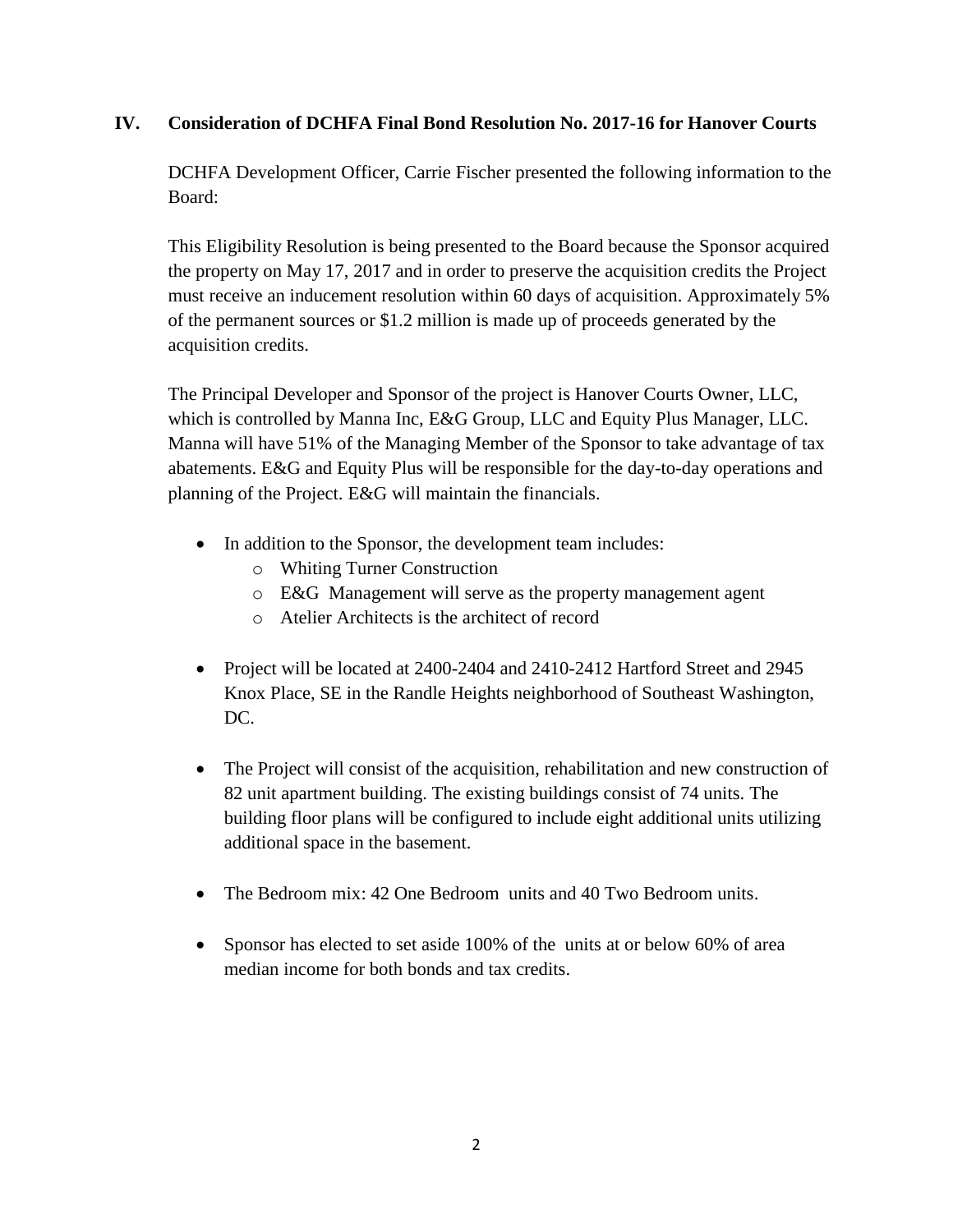# **IV. Consideration of DCHFA Final Bond Resolution No. 2017-16 for Hanover Courts**

DCHFA Development Officer, Carrie Fischer presented the following information to the Board:

This Eligibility Resolution is being presented to the Board because the Sponsor acquired the property on May 17, 2017 and in order to preserve the acquisition credits the Project must receive an inducement resolution within 60 days of acquisition. Approximately 5% of the permanent sources or \$1.2 million is made up of proceeds generated by the acquisition credits.

The Principal Developer and Sponsor of the project is Hanover Courts Owner, LLC, which is controlled by Manna Inc, E&G Group, LLC and Equity Plus Manager, LLC. Manna will have 51% of the Managing Member of the Sponsor to take advantage of tax abatements. E&G and Equity Plus will be responsible for the day-to-day operations and planning of the Project. E&G will maintain the financials.

- In addition to the Sponsor, the development team includes:
	- o Whiting Turner Construction
	- o E&G Management will serve as the property management agent
	- o Atelier Architects is the architect of record
- Project will be located at 2400-2404 and 2410-2412 Hartford Street and 2945 Knox Place, SE in the Randle Heights neighborhood of Southeast Washington, DC.
- The Project will consist of the acquisition, rehabilitation and new construction of 82 unit apartment building. The existing buildings consist of 74 units. The building floor plans will be configured to include eight additional units utilizing additional space in the basement.
- The Bedroom mix: 42 One Bedroom units and 40 Two Bedroom units.
- Sponsor has elected to set aside 100% of the units at or below 60% of area median income for both bonds and tax credits.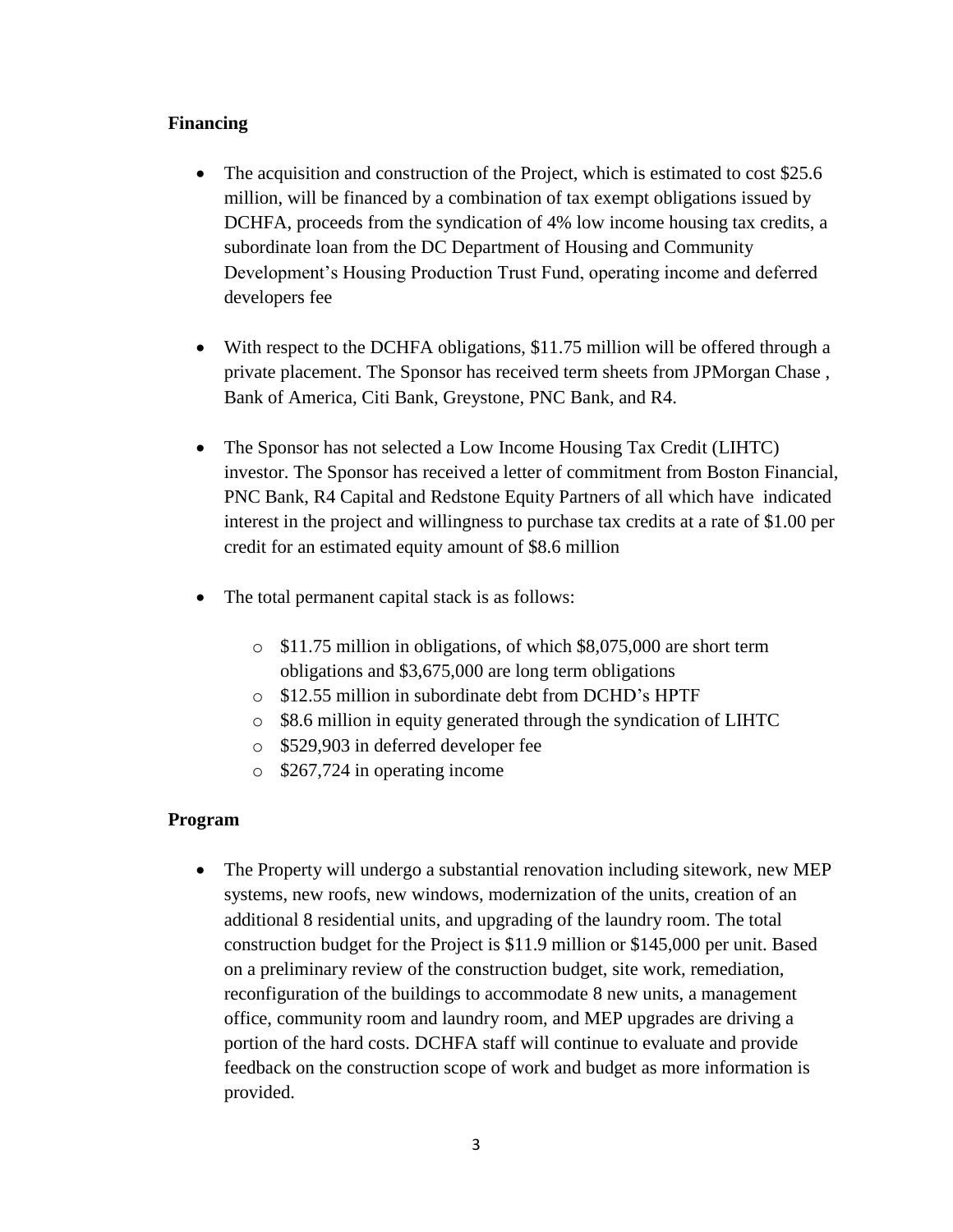### **Financing**

- The acquisition and construction of the Project, which is estimated to cost \$25.6 million, will be financed by a combination of tax exempt obligations issued by DCHFA, proceeds from the syndication of 4% low income housing tax credits, a subordinate loan from the DC Department of Housing and Community Development's Housing Production Trust Fund, operating income and deferred developers fee
- With respect to the DCHFA obligations, \$11.75 million will be offered through a private placement. The Sponsor has received term sheets from JPMorgan Chase , Bank of America, Citi Bank, Greystone, PNC Bank, and R4.
- The Sponsor has not selected a Low Income Housing Tax Credit (LIHTC) investor. The Sponsor has received a letter of commitment from Boston Financial, PNC Bank, R4 Capital and Redstone Equity Partners of all which have indicated interest in the project and willingness to purchase tax credits at a rate of \$1.00 per credit for an estimated equity amount of \$8.6 million
- The total permanent capital stack is as follows:
	- o \$11.75 million in obligations, of which \$8,075,000 are short term obligations and \$3,675,000 are long term obligations
	- o \$12.55 million in subordinate debt from DCHD's HPTF
	- o \$8.6 million in equity generated through the syndication of LIHTC
	- o \$529,903 in deferred developer fee
	- o \$267,724 in operating income

### **Program**

• The Property will undergo a substantial renovation including sitework, new MEP systems, new roofs, new windows, modernization of the units, creation of an additional 8 residential units, and upgrading of the laundry room. The total construction budget for the Project is \$11.9 million or \$145,000 per unit. Based on a preliminary review of the construction budget, site work, remediation, reconfiguration of the buildings to accommodate 8 new units, a management office, community room and laundry room, and MEP upgrades are driving a portion of the hard costs. DCHFA staff will continue to evaluate and provide feedback on the construction scope of work and budget as more information is provided.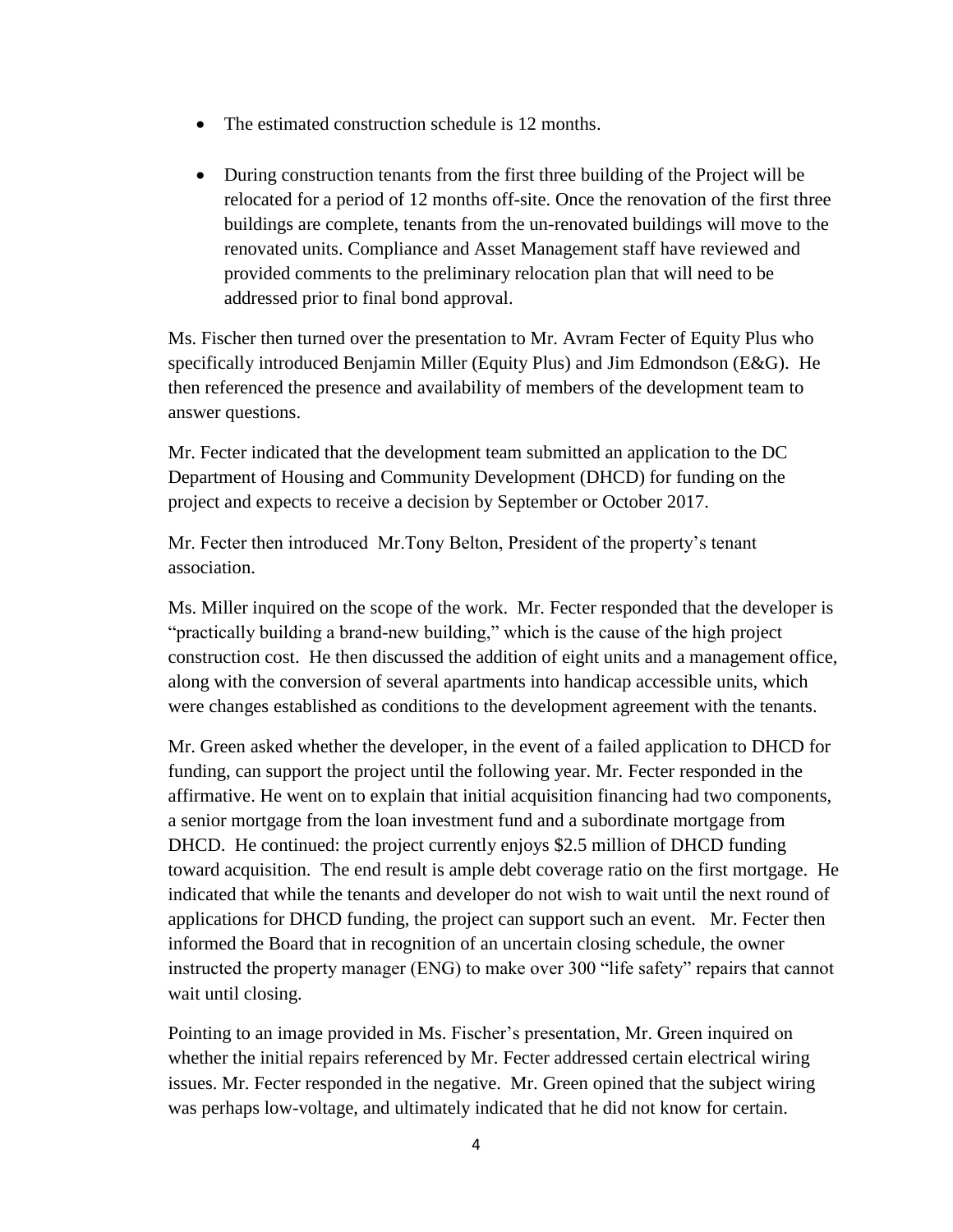- The estimated construction schedule is 12 months.
- During construction tenants from the first three building of the Project will be relocated for a period of 12 months off-site. Once the renovation of the first three buildings are complete, tenants from the un-renovated buildings will move to the renovated units. Compliance and Asset Management staff have reviewed and provided comments to the preliminary relocation plan that will need to be addressed prior to final bond approval.

Ms. Fischer then turned over the presentation to Mr. Avram Fecter of Equity Plus who specifically introduced Benjamin Miller (Equity Plus) and Jim Edmondson (E&G). He then referenced the presence and availability of members of the development team to answer questions.

Mr. Fecter indicated that the development team submitted an application to the DC Department of Housing and Community Development (DHCD) for funding on the project and expects to receive a decision by September or October 2017.

Mr. Fecter then introduced Mr.Tony Belton, President of the property's tenant association.

Ms. Miller inquired on the scope of the work. Mr. Fecter responded that the developer is "practically building a brand-new building," which is the cause of the high project construction cost. He then discussed the addition of eight units and a management office, along with the conversion of several apartments into handicap accessible units, which were changes established as conditions to the development agreement with the tenants.

Mr. Green asked whether the developer, in the event of a failed application to DHCD for funding, can support the project until the following year. Mr. Fecter responded in the affirmative. He went on to explain that initial acquisition financing had two components, a senior mortgage from the loan investment fund and a subordinate mortgage from DHCD. He continued: the project currently enjoys \$2.5 million of DHCD funding toward acquisition. The end result is ample debt coverage ratio on the first mortgage. He indicated that while the tenants and developer do not wish to wait until the next round of applications for DHCD funding, the project can support such an event. Mr. Fecter then informed the Board that in recognition of an uncertain closing schedule, the owner instructed the property manager (ENG) to make over 300 "life safety" repairs that cannot wait until closing.

Pointing to an image provided in Ms. Fischer's presentation, Mr. Green inquired on whether the initial repairs referenced by Mr. Fecter addressed certain electrical wiring issues. Mr. Fecter responded in the negative. Mr. Green opined that the subject wiring was perhaps low-voltage, and ultimately indicated that he did not know for certain.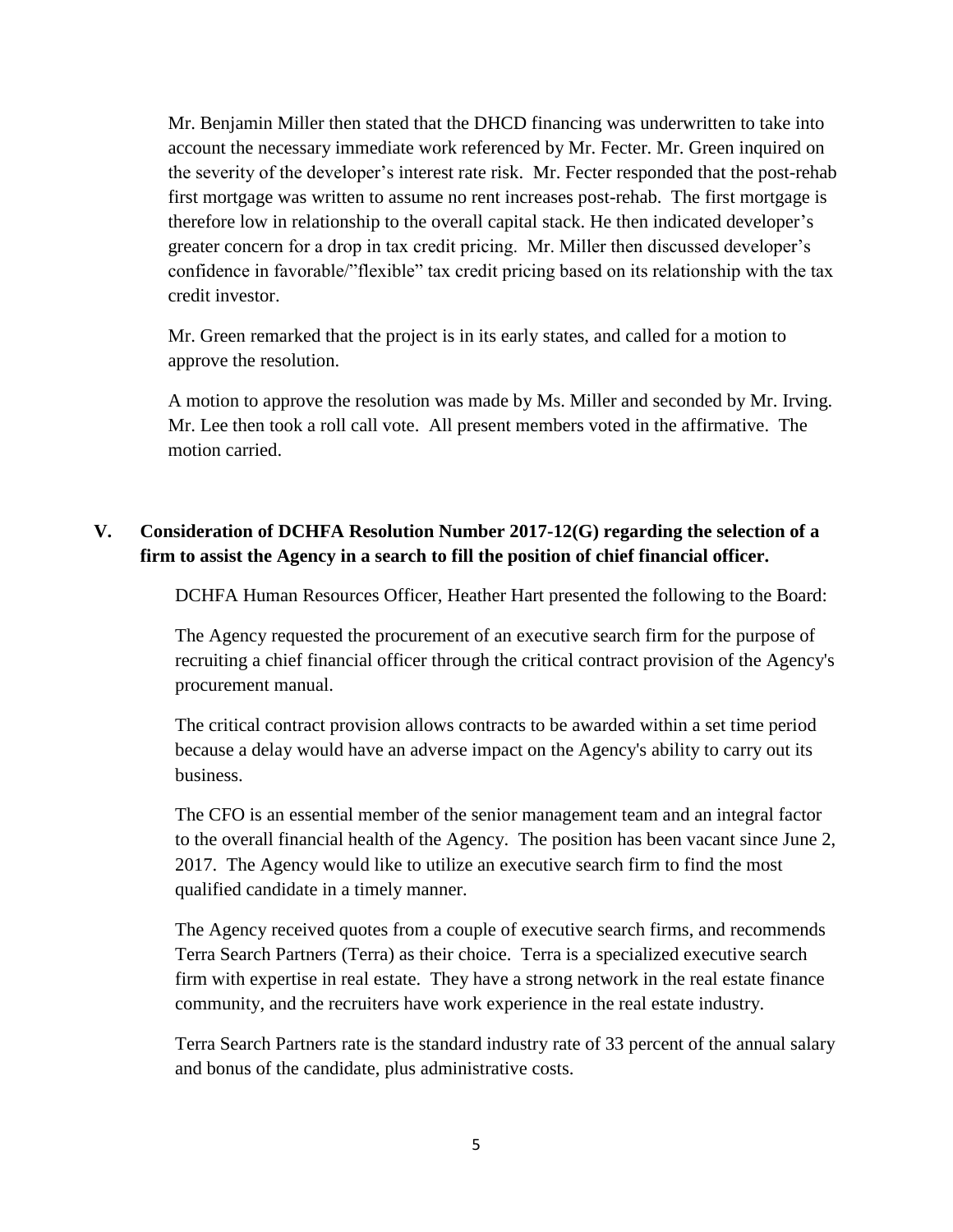Mr. Benjamin Miller then stated that the DHCD financing was underwritten to take into account the necessary immediate work referenced by Mr. Fecter. Mr. Green inquired on the severity of the developer's interest rate risk. Mr. Fecter responded that the post-rehab first mortgage was written to assume no rent increases post-rehab. The first mortgage is therefore low in relationship to the overall capital stack. He then indicated developer's greater concern for a drop in tax credit pricing. Mr. Miller then discussed developer's confidence in favorable/"flexible" tax credit pricing based on its relationship with the tax credit investor.

Mr. Green remarked that the project is in its early states, and called for a motion to approve the resolution.

A motion to approve the resolution was made by Ms. Miller and seconded by Mr. Irving. Mr. Lee then took a roll call vote. All present members voted in the affirmative. The motion carried.

# **V. Consideration of DCHFA Resolution Number 2017-12(G) regarding the selection of a firm to assist the Agency in a search to fill the position of chief financial officer.**

DCHFA Human Resources Officer, Heather Hart presented the following to the Board:

The Agency requested the procurement of an executive search firm for the purpose of recruiting a chief financial officer through the critical contract provision of the Agency's procurement manual.

The critical contract provision allows contracts to be awarded within a set time period because a delay would have an adverse impact on the Agency's ability to carry out its business.

The CFO is an essential member of the senior management team and an integral factor to the overall financial health of the Agency. The position has been vacant since June 2, 2017. The Agency would like to utilize an executive search firm to find the most qualified candidate in a timely manner.

The Agency received quotes from a couple of executive search firms, and recommends Terra Search Partners (Terra) as their choice. Terra is a specialized executive search firm with expertise in real estate. They have a strong network in the real estate finance community, and the recruiters have work experience in the real estate industry.

Terra Search Partners rate is the standard industry rate of 33 percent of the annual salary and bonus of the candidate, plus administrative costs.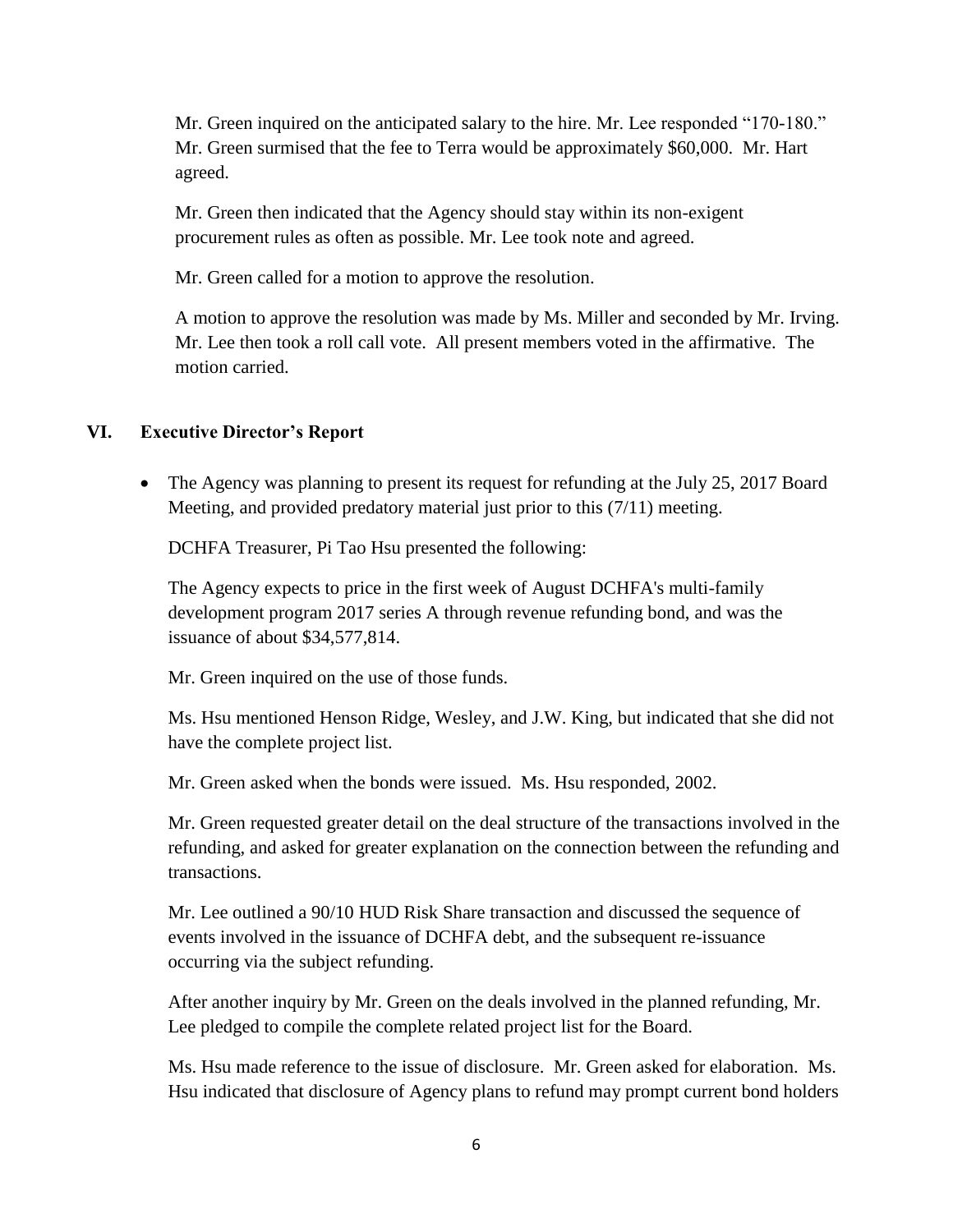Mr. Green inquired on the anticipated salary to the hire. Mr. Lee responded "170-180." Mr. Green surmised that the fee to Terra would be approximately \$60,000. Mr. Hart agreed.

Mr. Green then indicated that the Agency should stay within its non-exigent procurement rules as often as possible. Mr. Lee took note and agreed.

Mr. Green called for a motion to approve the resolution.

A motion to approve the resolution was made by Ms. Miller and seconded by Mr. Irving. Mr. Lee then took a roll call vote. All present members voted in the affirmative. The motion carried.

### **VI. Executive Director's Report**

• The Agency was planning to present its request for refunding at the July 25, 2017 Board Meeting, and provided predatory material just prior to this (7/11) meeting.

DCHFA Treasurer, Pi Tao Hsu presented the following:

The Agency expects to price in the first week of August DCHFA's multi-family development program 2017 series A through revenue refunding bond, and was the issuance of about \$34,577,814.

Mr. Green inquired on the use of those funds.

Ms. Hsu mentioned Henson Ridge, Wesley, and J.W. King, but indicated that she did not have the complete project list.

Mr. Green asked when the bonds were issued. Ms. Hsu responded, 2002.

Mr. Green requested greater detail on the deal structure of the transactions involved in the refunding, and asked for greater explanation on the connection between the refunding and transactions.

Mr. Lee outlined a 90/10 HUD Risk Share transaction and discussed the sequence of events involved in the issuance of DCHFA debt, and the subsequent re-issuance occurring via the subject refunding.

After another inquiry by Mr. Green on the deals involved in the planned refunding, Mr. Lee pledged to compile the complete related project list for the Board.

Ms. Hsu made reference to the issue of disclosure. Mr. Green asked for elaboration. Ms. Hsu indicated that disclosure of Agency plans to refund may prompt current bond holders